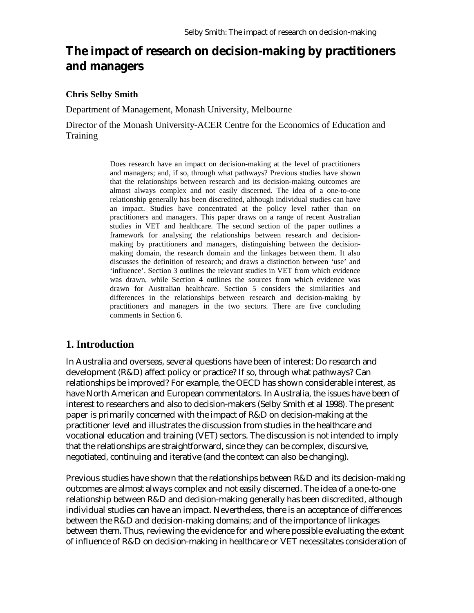# **The impact of research on decision-making by practitioners and managers**

#### **Chris Selby Smith**

Department of Management, Monash University, Melbourne

Director of the Monash University-ACER Centre for the Economics of Education and Training

> Does research have an impact on decision-making at the level of practitioners and managers; and, if so, through what pathways? Previous studies have shown that the relationships between research and its decision-making outcomes are almost always complex and not easily discerned. The idea of a one-to-one relationship generally has been discredited, although individual studies can have an impact. Studies have concentrated at the policy level rather than on practitioners and managers. This paper draws on a range of recent Australian studies in VET and healthcare. The second section of the paper outlines a framework for analysing the relationships between research and decisionmaking by practitioners and managers, distinguishing between the decisionmaking domain, the research domain and the linkages between them. It also discusses the definition of research; and draws a distinction between 'use' and 'influence'. Section 3 outlines the relevant studies in VET from which evidence was drawn, while Section 4 outlines the sources from which evidence was drawn for Australian healthcare. Section 5 considers the similarities and differences in the relationships between research and decision-making by practitioners and managers in the two sectors. There are five concluding comments in Section 6.

### **1. Introduction**

In Australia and overseas, several questions have been of interest: Do research and development (R&D) affect policy or practice? If so, through what pathways? Can relationships be improved? For example, the OECD has shown considerable interest, as have North American and European commentators. In Australia, the issues have been of interest to researchers and also to decision-makers (Selby Smith et al 1998). The present paper is primarily concerned with the impact of R&D on decision-making at the practitioner level and illustrates the discussion from studies in the healthcare and vocational education and training (VET) sectors. The discussion is not intended to imply that the relationships are straightforward, since they can be complex, discursive, negotiated, continuing and iterative (and the context can also be changing).

Previous studies have shown that the relationships between R&D and its decision-making outcomes are almost always complex and not easily discerned. The idea of a one-to-one relationship between R&D and decision-making generally has been discredited, although individual studies can have an impact. Nevertheless, there is an acceptance of differences between the R&D and decision-making domains; and of the importance of linkages between them. Thus, reviewing the evidence for and where possible evaluating the extent of influence of R&D on decision-making in healthcare or VET necessitates consideration of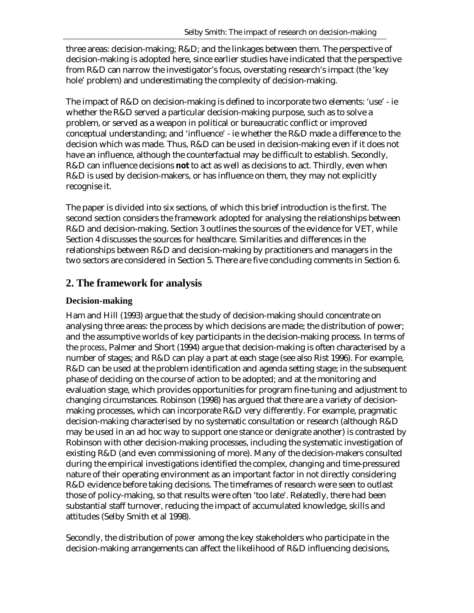three areas: decision-making; R&D; and the linkages between them. The perspective of decision-making is adopted here, since earlier studies have indicated that the perspective from R&D can narrow the investigator's focus, overstating research's impact (the 'key hole' problem) and underestimating the complexity of decision-making.

The impact of R&D on decision-making is defined to incorporate two elements: 'use' - ie whether the R&D served a particular decision-making purpose, such as to solve a problem, or served as a weapon in political or bureaucratic conflict or improved conceptual understanding; and 'influence' - ie whether the R&D made a difference to the decision which was made. Thus, R&D can be used in decision-making even if it does not have an influence, although the counterfactual may be difficult to establish. Secondly, R&D can influence decisions **not** to act as well as decisions to act. Thirdly, even when R&D is used by decision-makers, or has influence on them, they may not explicitly recognise it.

The paper is divided into six sections, of which this brief introduction is the first. The second section considers the framework adopted for analysing the relationships between R&D and decision-making. Section 3 outlines the sources of the evidence for VET, while Section 4 discusses the sources for healthcare. Similarities and differences in the relationships between R&D and decision-making by practitioners and managers in the two sectors are considered in Section 5. There are five concluding comments in Section 6.

### **2. The framework for analysis**

#### **Decision-making**

Ham and Hill (1993) argue that the study of decision-making should concentrate on analysing three areas: the process by which decisions are made; the distribution of power; and the assumptive worlds of key participants in the decision-making process. In terms of the *process*, Palmer and Short (1994) argue that decision-making is often characterised by a number of stages; and R&D can play a part at each stage (see also Rist 1996). For example, R&D can be used at the problem identification and agenda setting stage; in the subsequent phase of deciding on the course of action to be adopted; and at the monitoring and evaluation stage, which provides opportunities for program fine-tuning and adjustment to changing circumstances. Robinson (1998) has argued that there are a variety of decisionmaking processes, which can incorporate R&D very differently. For example, pragmatic decision-making characterised by no systematic consultation or research (although R&D may be used in an ad hoc way to support one stance or denigrate another) is contrasted by Robinson with other decision-making processes, including the systematic investigation of existing R&D (and even commissioning of more). Many of the decision-makers consulted during the empirical investigations identified the complex, changing and time-pressured nature of their operating environment as an important factor in not directly considering R&D evidence before taking decisions. The timeframes of research were seen to outlast those of policy-making, so that results were often 'too late'. Relatedly, there had been substantial staff turnover, reducing the impact of accumulated knowledge, skills and attitudes (Selby Smith et al 1998).

Secondly, the distribution of *power* among the key stakeholders who participate in the decision-making arrangements can affect the likelihood of R&D influencing decisions,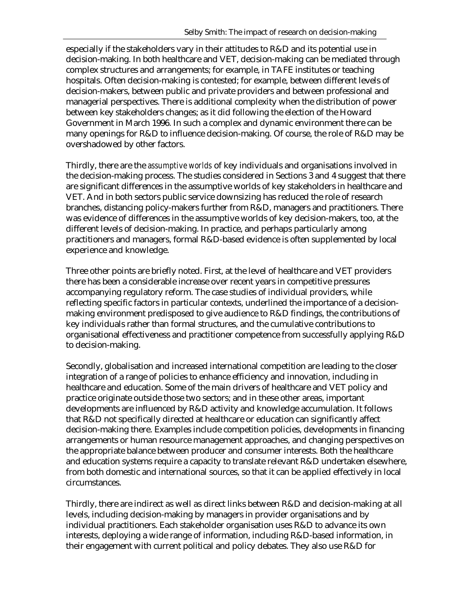especially if the stakeholders vary in their attitudes to R&D and its potential use in decision-making. In both healthcare and VET, decision-making can be mediated through complex structures and arrangements; for example, in TAFE institutes or teaching hospitals. Often decision-making is contested; for example, between different levels of decision-makers, between public and private providers and between professional and managerial perspectives. There is additional complexity when the distribution of power between key stakeholders changes; as it did following the election of the Howard Government in March 1996. In such a complex and dynamic environment there can be many openings for R&D to influence decision-making. Of course, the role of R&D may be overshadowed by other factors.

Thirdly, there are the *assumptive worlds* of key individuals and organisations involved in the decision-making process. The studies considered in Sections 3 and 4 suggest that there are significant differences in the assumptive worlds of key stakeholders in healthcare and VET. And in both sectors public service downsizing has reduced the role of research branches, distancing policy-makers further from R&D, managers and practitioners. There was evidence of differences in the assumptive worlds of key decision-makers, too, at the different levels of decision-making. In practice, and perhaps particularly among practitioners and managers, formal R&D-based evidence is often supplemented by local experience and knowledge.

Three other points are briefly noted. First, at the level of healthcare and VET providers there has been a considerable increase over recent years in competitive pressures accompanying regulatory reform. The case studies of individual providers, while reflecting specific factors in particular contexts, underlined the importance of a decisionmaking environment predisposed to give audience to R&D findings, the contributions of key individuals rather than formal structures, and the cumulative contributions to organisational effectiveness and practitioner competence from successfully applying R&D to decision-making.

Secondly, globalisation and increased international competition are leading to the closer integration of a range of policies to enhance efficiency and innovation, including in healthcare and education. Some of the main drivers of healthcare and VET policy and practice originate outside those two sectors; and in these other areas, important developments are influenced by R&D activity and knowledge accumulation. It follows that R&D not specifically directed at healthcare or education can significantly affect decision-making there. Examples include competition policies, developments in financing arrangements or human resource management approaches, and changing perspectives on the appropriate balance between producer and consumer interests. Both the healthcare and education systems require a capacity to translate relevant R&D undertaken elsewhere, from both domestic and international sources, so that it can be applied effectively in local circumstances.

Thirdly, there are indirect as well as direct links between R&D and decision-making at all levels, including decision-making by managers in provider organisations and by individual practitioners. Each stakeholder organisation uses R&D to advance its own interests, deploying a wide range of information, including R&D-based information, in their engagement with current political and policy debates. They also use R&D for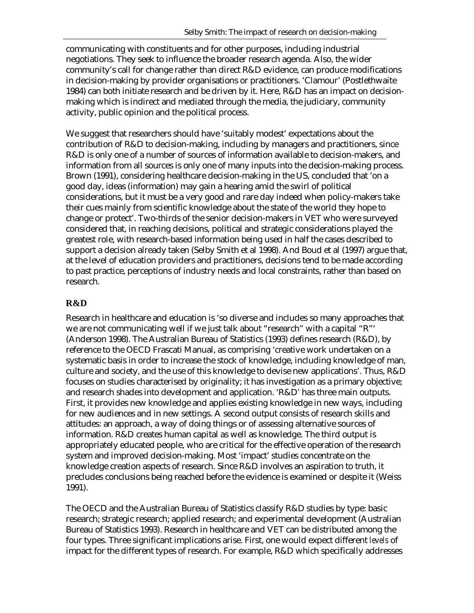communicating with constituents and for other purposes, including industrial negotiations. They seek to influence the broader research agenda. Also, the wider community's call for change rather than direct R&D evidence, can produce modifications in decision-making by provider organisations or practitioners. 'Clamour' (Postlethwaite 1984) can both initiate research and be driven by it. Here, R&D has an impact on decisionmaking which is indirect and mediated through the media, the judiciary, community activity, public opinion and the political process.

We suggest that researchers should have 'suitably modest' expectations about the contribution of R&D to decision-making, including by managers and practitioners, since R&D is only one of a number of sources of information available to decision-makers, and information from all sources is only one of many inputs into the decision-making process. Brown (1991), considering healthcare decision-making in the US, concluded that 'on a good day, ideas (information) may gain a hearing amid the swirl of political considerations, but it must be a very good and rare day indeed when policy-makers take their cues mainly from scientific knowledge about the state of the world they hope to change or protect'. Two-thirds of the senior decision-makers in VET who were surveyed considered that, in reaching decisions, political and strategic considerations played the greatest role, with research-based information being used in half the cases described to support a decision already taken (Selby Smith et al 1998). And Boud et al (1997) argue that, at the level of education providers and practitioners, decisions tend to be made according to past practice, perceptions of industry needs and local constraints, rather than based on research.

#### **R&D**

Research in healthcare and education is 'so diverse and includes so many approaches that we are not communicating well if we just talk about "research" with a capital "R"' (Anderson 1998). The Australian Bureau of Statistics (1993) defines research (R&D), by reference to the OECD Frascati Manual, as comprising 'creative work undertaken on a systematic basis in order to increase the stock of knowledge, including knowledge of man, culture and society, and the use of this knowledge to devise new applications'. Thus, R&D focuses on studies characterised by originality; it has investigation as a primary objective; and research shades into development and application. 'R&D' has three main outputs. First, it provides new knowledge and applies existing knowledge in new ways, including for new audiences and in new settings. A second output consists of research skills and attitudes: an approach, a way of doing things or of assessing alternative sources of information. R&D creates human capital as well as knowledge. The third output is appropriately educated people, who are critical for the effective operation of the research system and improved decision-making. Most 'impact' studies concentrate on the knowledge creation aspects of research. Since R&D involves an aspiration to truth, it precludes conclusions being reached before the evidence is examined or despite it (Weiss 1991).

The OECD and the Australian Bureau of Statistics classify R&D studies by type: basic research; strategic research; applied research; and experimental development (Australian Bureau of Statistics 1993). Research in healthcare and VET can be distributed among the four types. Three significant implications arise. First, one would expect different *levels* of impact for the different types of research. For example, R&D which specifically addresses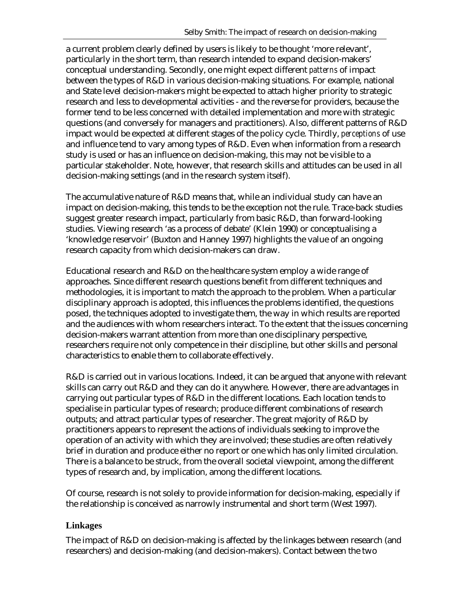a current problem clearly defined by users is likely to be thought 'more relevant', particularly in the short term, than research intended to expand decision-makers' conceptual understanding. Secondly, one might expect different *patterns* of impact between the types of R&D in various decision-making situations. For example, national and State level decision-makers might be expected to attach higher priority to strategic research and less to developmental activities - and the reverse for providers, because the former tend to be less concerned with detailed implementation and more with strategic questions (and conversely for managers and practitioners). Also, different patterns of R&D impact would be expected at different stages of the policy cycle. Thirdly, *perceptions* of use and influence tend to vary among types of R&D. Even when information from a research study is used or has an influence on decision-making, this may not be visible to a particular stakeholder. Note, however, that research skills and attitudes can be used in all decision-making settings (and in the research system itself).

The accumulative nature of R&D means that, while an individual study can have an impact on decision-making, this tends to be the exception not the rule. Trace-back studies suggest greater research impact, particularly from basic R&D, than forward-looking studies. Viewing research 'as a process of debate' (Klein 1990) or conceptualising a 'knowledge reservoir' (Buxton and Hanney 1997) highlights the value of an ongoing research capacity from which decision-makers can draw.

Educational research and R&D on the healthcare system employ a wide range of approaches. Since different research questions benefit from different techniques and methodologies, it is important to match the approach to the problem. When a particular disciplinary approach is adopted, this influences the problems identified, the questions posed, the techniques adopted to investigate them, the way in which results are reported and the audiences with whom researchers interact. To the extent that the issues concerning decision-makers warrant attention from more than one disciplinary perspective, researchers require not only competence in their discipline, but other skills and personal characteristics to enable them to collaborate effectively.

R&D is carried out in various locations. Indeed, it can be argued that anyone with relevant skills can carry out R&D and they can do it anywhere. However, there are advantages in carrying out particular types of R&D in the different locations. Each location tends to specialise in particular types of research; produce different combinations of research outputs; and attract particular types of researcher. The great majority of R&D by practitioners appears to represent the actions of individuals seeking to improve the operation of an activity with which they are involved; these studies are often relatively brief in duration and produce either no report or one which has only limited circulation. There is a balance to be struck, from the overall societal viewpoint, among the different types of research and, by implication, among the different locations.

Of course, research is not solely to provide information for decision-making, especially if the relationship is conceived as narrowly instrumental and short term (West 1997).

#### **Linkages**

The impact of R&D on decision-making is affected by the linkages between research (and researchers) and decision-making (and decision-makers). Contact between the two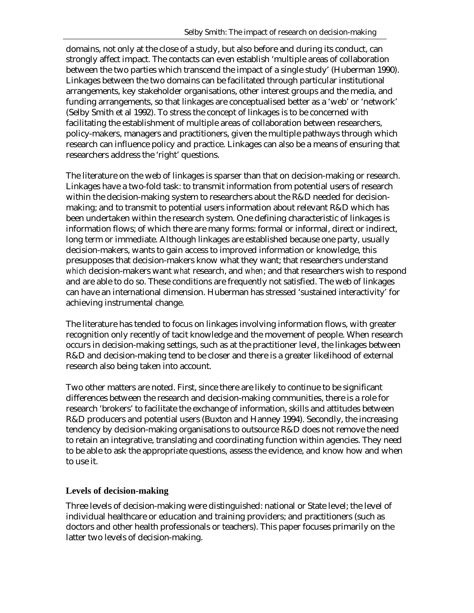domains, not only at the close of a study, but also before and during its conduct, can strongly affect impact. The contacts can even establish 'multiple areas of collaboration between the two parties which transcend the impact of a single study' (Huberman 1990). Linkages between the two domains can be facilitated through particular institutional arrangements, key stakeholder organisations, other interest groups and the media, and funding arrangements, so that linkages are conceptualised better as a 'web' or 'network' (Selby Smith et al 1992). To stress the concept of linkages is to be concerned with facilitating the establishment of multiple areas of collaboration between researchers, policy-makers, managers and practitioners, given the multiple pathways through which research can influence policy and practice. Linkages can also be a means of ensuring that researchers address the 'right' questions.

The literature on the web of linkages is sparser than that on decision-making or research. Linkages have a two-fold task: to transmit information from potential users of research within the decision-making system to researchers about the R&D needed for decisionmaking; and to transmit to potential users information about relevant R&D which has been undertaken within the research system. One defining characteristic of linkages is information flows; of which there are many forms: formal or informal, direct or indirect, long term or immediate. Although linkages are established because one party, usually decision-makers, wants to gain access to improved information or knowledge, this presupposes that decision-makers know what they want; that researchers understand *which* decision-makers want *what* research, and *when*; and that researchers wish to respond and are able to do so. These conditions are frequently not satisfied. The web of linkages can have an international dimension. Huberman has stressed 'sustained interactivity' for achieving instrumental change.

The literature has tended to focus on linkages involving information flows, with greater recognition only recently of tacit knowledge and the movement of people. When research occurs in decision-making settings, such as at the practitioner level, the linkages between R&D and decision-making tend to be closer and there is a greater likelihood of external research also being taken into account.

Two other matters are noted. First, since there are likely to continue to be significant differences between the research and decision-making communities, there is a role for research 'brokers' to facilitate the exchange of information, skills and attitudes between R&D producers and potential users (Buxton and Hanney 1994). Secondly, the increasing tendency by decision-making organisations to outsource R&D does not remove the need to retain an integrative, translating and coordinating function within agencies. They need to be able to ask the appropriate questions, assess the evidence, and know how and when to use it.

#### **Levels of decision-making**

Three levels of decision-making were distinguished: national or State level; the level of individual healthcare or education and training providers; and practitioners (such as doctors and other health professionals or teachers). This paper focuses primarily on the latter two levels of decision-making.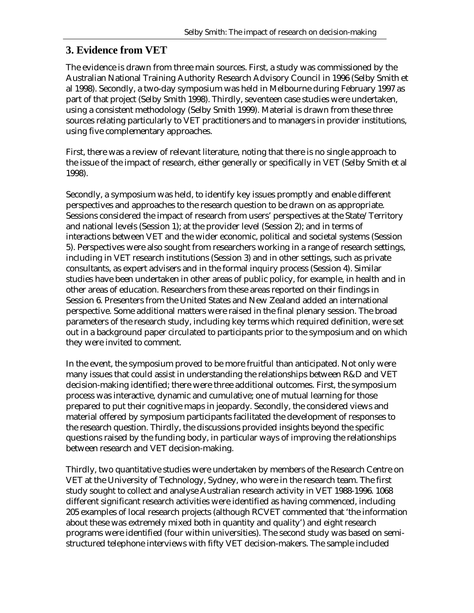### **3. Evidence from VET**

The evidence is drawn from three main sources. First, a study was commissioned by the Australian National Training Authority Research Advisory Council in 1996 (Selby Smith et al 1998). Secondly, a two-day symposium was held in Melbourne during February 1997 as part of that project (Selby Smith 1998). Thirdly, seventeen case studies were undertaken, using a consistent methodology (Selby Smith 1999). Material is drawn from these three sources relating particularly to VET practitioners and to managers in provider institutions, using five complementary approaches.

First, there was a review of relevant literature, noting that there is no single approach to the issue of the impact of research, either generally or specifically in VET (Selby Smith et al 1998).

Secondly, a symposium was held, to identify key issues promptly and enable different perspectives and approaches to the research question to be drawn on as appropriate. Sessions considered the impact of research from users' perspectives at the State/Territory and national levels (Session 1); at the provider level (Session 2); and in terms of interactions between VET and the wider economic, political and societal systems (Session 5). Perspectives were also sought from researchers working in a range of research settings, including in VET research institutions (Session 3) and in other settings, such as private consultants, as expert advisers and in the formal inquiry process (Session 4). Similar studies have been undertaken in other areas of public policy, for example, in health and in other areas of education. Researchers from these areas reported on their findings in Session 6. Presenters from the United States and New Zealand added an international perspective. Some additional matters were raised in the final plenary session. The broad parameters of the research study, including key terms which required definition, were set out in a background paper circulated to participants prior to the symposium and on which they were invited to comment.

In the event, the symposium proved to be more fruitful than anticipated. Not only were many issues that could assist in understanding the relationships between R&D and VET decision-making identified; there were three additional outcomes. First, the symposium process was interactive, dynamic and cumulative; one of mutual learning for those prepared to put their cognitive maps in jeopardy. Secondly, the considered views and material offered by symposium participants facilitated the development of responses to the research question. Thirdly, the discussions provided insights beyond the specific questions raised by the funding body, in particular ways of improving the relationships between research and VET decision-making.

Thirdly, two quantitative studies were undertaken by members of the Research Centre on VET at the University of Technology, Sydney, who were in the research team. The first study sought to collect and analyse Australian research activity in VET 1988-1996. 1068 different significant research activities were identified as having commenced, including 205 examples of local research projects (although RCVET commented that 'the information about these was extremely mixed both in quantity and quality') and eight research programs were identified (four within universities). The second study was based on semistructured telephone interviews with fifty VET decision-makers. The sample included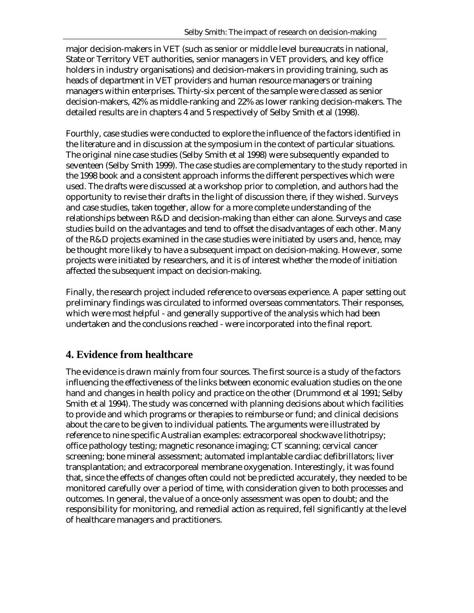major decision-makers in VET (such as senior or middle level bureaucrats in national, State or Territory VET authorities, senior managers in VET providers, and key office holders in industry organisations) and decision-makers in providing training, such as heads of department in VET providers and human resource managers or training managers within enterprises. Thirty-six percent of the sample were classed as senior decision-makers, 42% as middle-ranking and 22% as lower ranking decision-makers. The detailed results are in chapters 4 and 5 respectively of Selby Smith et al (1998).

Fourthly, case studies were conducted to explore the influence of the factors identified in the literature and in discussion at the symposium in the context of particular situations. The original nine case studies (Selby Smith et al 1998) were subsequently expanded to seventeen (Selby Smith 1999). The case studies are complementary to the study reported in the 1998 book and a consistent approach informs the different perspectives which were used. The drafts were discussed at a workshop prior to completion, and authors had the opportunity to revise their drafts in the light of discussion there, if they wished. Surveys and case studies, taken together, allow for a more complete understanding of the relationships between R&D and decision-making than either can alone. Surveys and case studies build on the advantages and tend to offset the disadvantages of each other. Many of the R&D projects examined in the case studies were initiated by users and, hence, may be thought more likely to have a subsequent impact on decision-making. However, some projects were initiated by researchers, and it is of interest whether the mode of initiation affected the subsequent impact on decision-making.

Finally, the research project included reference to overseas experience. A paper setting out preliminary findings was circulated to informed overseas commentators. Their responses, which were most helpful - and generally supportive of the analysis which had been undertaken and the conclusions reached - were incorporated into the final report.

# **4. Evidence from healthcare**

The evidence is drawn mainly from four sources. The first source is a study of the factors influencing the effectiveness of the links between economic evaluation studies on the one hand and changes in health policy and practice on the other (Drummond et al 1991; Selby Smith et al 1994). The study was concerned with planning decisions about which facilities to provide and which programs or therapies to reimburse or fund; and clinical decisions about the care to be given to individual patients. The arguments were illustrated by reference to nine specific Australian examples: extracorporeal shockwave lithotripsy; office pathology testing; magnetic resonance imaging; CT scanning; cervical cancer screening; bone mineral assessment; automated implantable cardiac defibrillators; liver transplantation; and extracorporeal membrane oxygenation. Interestingly, it was found that, since the effects of changes often could not be predicted accurately, they needed to be monitored carefully over a period of time, with consideration given to both processes and outcomes. In general, the value of a once-only assessment was open to doubt; and the responsibility for monitoring, and remedial action as required, fell significantly at the level of healthcare managers and practitioners.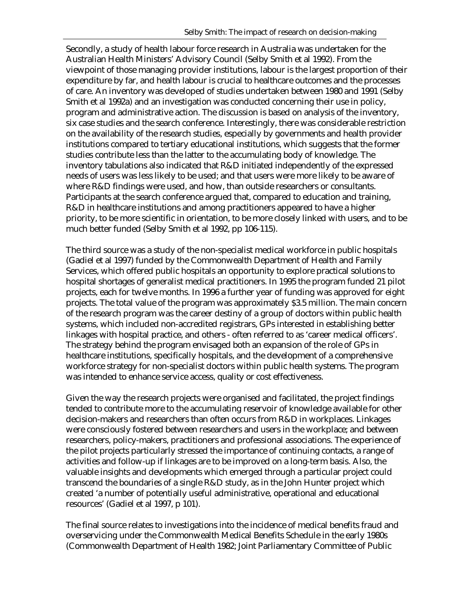Secondly, a study of health labour force research in Australia was undertaken for the Australian Health Ministers' Advisory Council (Selby Smith et al 1992). From the viewpoint of those managing provider institutions, labour is the largest proportion of their expenditure by far, and health labour is crucial to healthcare outcomes and the processes of care. An inventory was developed of studies undertaken between 1980 and 1991 (Selby Smith et al 1992a) and an investigation was conducted concerning their use in policy, program and administrative action. The discussion is based on analysis of the inventory, six case studies and the search conference. Interestingly, there was considerable restriction on the availability of the research studies, especially by governments and health provider institutions compared to tertiary educational institutions, which suggests that the former studies contribute less than the latter to the accumulating body of knowledge. The inventory tabulations also indicated that R&D initiated independently of the expressed needs of users was less likely to be used; and that users were more likely to be aware of where R&D findings were used, and how, than outside researchers or consultants. Participants at the search conference argued that, compared to education and training, R&D in healthcare institutions and among practitioners appeared to have a higher priority, to be more scientific in orientation, to be more closely linked with users, and to be much better funded (Selby Smith et al 1992, pp 106-115).

The third source was a study of the non-specialist medical workforce in public hospitals (Gadiel et al 1997) funded by the Commonwealth Department of Health and Family Services, which offered public hospitals an opportunity to explore practical solutions to hospital shortages of generalist medical practitioners. In 1995 the program funded 21 pilot projects, each for twelve months. In 1996 a further year of funding was approved for eight projects. The total value of the program was approximately \$3.5 million. The main concern of the research program was the career destiny of a group of doctors within public health systems, which included non-accredited registrars, GPs interested in establishing better linkages with hospital practice, and others - often referred to as 'career medical officers'. The strategy behind the program envisaged both an expansion of the role of GPs in healthcare institutions, specifically hospitals, and the development of a comprehensive workforce strategy for non-specialist doctors within public health systems. The program was intended to enhance service access, quality or cost effectiveness.

Given the way the research projects were organised and facilitated, the project findings tended to contribute more to the accumulating reservoir of knowledge available for other decision-makers and researchers than often occurs from R&D in workplaces. Linkages were consciously fostered between researchers and users in the workplace; and between researchers, policy-makers, practitioners and professional associations. The experience of the pilot projects particularly stressed the importance of continuing contacts, a range of activities and follow-up if linkages are to be improved on a long-term basis. Also, the valuable insights and developments which emerged through a particular project could transcend the boundaries of a single R&D study, as in the John Hunter project which created 'a number of potentially useful administrative, operational and educational resources' (Gadiel et al 1997, p 101).

The final source relates to investigations into the incidence of medical benefits fraud and overservicing under the Commonwealth Medical Benefits Schedule in the early 1980s (Commonwealth Department of Health 1982; Joint Parliamentary Committee of Public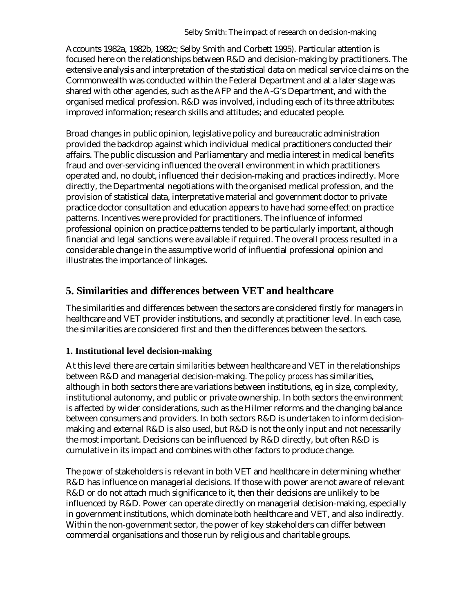Accounts 1982a, 1982b, 1982c; Selby Smith and Corbett 1995). Particular attention is focused here on the relationships between R&D and decision-making by practitioners. The extensive analysis and interpretation of the statistical data on medical service claims on the Commonwealth was conducted within the Federal Department and at a later stage was shared with other agencies, such as the AFP and the A-G's Department, and with the organised medical profession. R&D was involved, including each of its three attributes: improved information; research skills and attitudes; and educated people.

Broad changes in public opinion, legislative policy and bureaucratic administration provided the backdrop against which individual medical practitioners conducted their affairs. The public discussion and Parliamentary and media interest in medical benefits fraud and over-servicing influenced the overall environment in which practitioners operated and, no doubt, influenced their decision-making and practices indirectly. More directly, the Departmental negotiations with the organised medical profession, and the provision of statistical data, interpretative material and government doctor to private practice doctor consultation and education appears to have had some effect on practice patterns. Incentives were provided for practitioners. The influence of informed professional opinion on practice patterns tended to be particularly important, although financial and legal sanctions were available if required. The overall process resulted in a considerable change in the assumptive world of influential professional opinion and illustrates the importance of linkages.

# **5. Similarities and differences between VET and healthcare**

The similarities and differences between the sectors are considered firstly for managers in healthcare and VET provider institutions, and secondly at practitioner level. In each case, the similarities are considered first and then the differences between the sectors.

### **1. Institutional level decision-making**

At this level there are certain *similarities* between healthcare and VET in the relationships between R&D and managerial decision-making. The *policy process* has similarities, although in both sectors there are variations between institutions, eg in size, complexity, institutional autonomy, and public or private ownership. In both sectors the environment is affected by wider considerations, such as the Hilmer reforms and the changing balance between consumers and providers. In both sectors R&D is undertaken to inform decisionmaking and external R&D is also used, but R&D is not the only input and not necessarily the most important. Decisions can be influenced by R&D directly, but often R&D is cumulative in its impact and combines with other factors to produce change.

The *power* of stakeholders is relevant in both VET and healthcare in determining whether R&D has influence on managerial decisions. If those with power are not aware of relevant R&D or do not attach much significance to it, then their decisions are unlikely to be influenced by R&D. Power can operate directly on managerial decision-making, especially in government institutions, which dominate both healthcare and VET, and also indirectly. Within the non-government sector, the power of key stakeholders can differ between commercial organisations and those run by religious and charitable groups.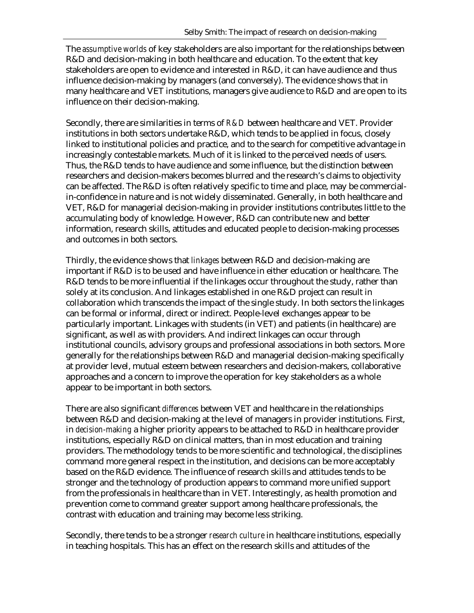The *assumptive worlds* of key stakeholders are also important for the relationships between R&D and decision-making in both healthcare and education. To the extent that key stakeholders are open to evidence and interested in R&D, it can have audience and thus influence decision-making by managers (and conversely). The evidence shows that in many healthcare and VET institutions, managers give audience to R&D and are open to its influence on their decision-making.

Secondly, there are similarities in terms of *R&D* between healthcare and VET. Provider institutions in both sectors undertake R&D, which tends to be applied in focus, closely linked to institutional policies and practice, and to the search for competitive advantage in increasingly contestable markets. Much of it is linked to the perceived needs of users. Thus, the R&D tends to have audience and some influence, but the distinction between researchers and decision-makers becomes blurred and the research's claims to objectivity can be affected. The R&D is often relatively specific to time and place, may be commercialin-confidence in nature and is not widely disseminated. Generally, in both healthcare and VET, R&D for managerial decision-making in provider institutions contributes little to the accumulating body of knowledge. However, R&D can contribute new and better information, research skills, attitudes and educated people to decision-making processes and outcomes in both sectors.

Thirdly, the evidence shows that *linkages* between R&D and decision-making are important if R&D is to be used and have influence in either education or healthcare. The R&D tends to be more influential if the linkages occur throughout the study, rather than solely at its conclusion. And linkages established in one R&D project can result in collaboration which transcends the impact of the single study. In both sectors the linkages can be formal or informal, direct or indirect. People-level exchanges appear to be particularly important. Linkages with students (in VET) and patients (in healthcare) are significant, as well as with providers. And indirect linkages can occur through institutional councils, advisory groups and professional associations in both sectors. More generally for the relationships between R&D and managerial decision-making specifically at provider level, mutual esteem between researchers and decision-makers, collaborative approaches and a concern to improve the operation for key stakeholders as a whole appear to be important in both sectors.

There are also significant *differences* between VET and healthcare in the relationships between R&D and decision-making at the level of managers in provider institutions. First, in *decision-making* a higher priority appears to be attached to R&D in healthcare provider institutions, especially R&D on clinical matters, than in most education and training providers. The methodology tends to be more scientific and technological, the disciplines command more general respect in the institution, and decisions can be more acceptably based on the R&D evidence. The influence of research skills and attitudes tends to be stronger and the technology of production appears to command more unified support from the professionals in healthcare than in VET. Interestingly, as health promotion and prevention come to command greater support among healthcare professionals, the contrast with education and training may become less striking.

Secondly, there tends to be a stronger *research culture* in healthcare institutions, especially in teaching hospitals. This has an effect on the research skills and attitudes of the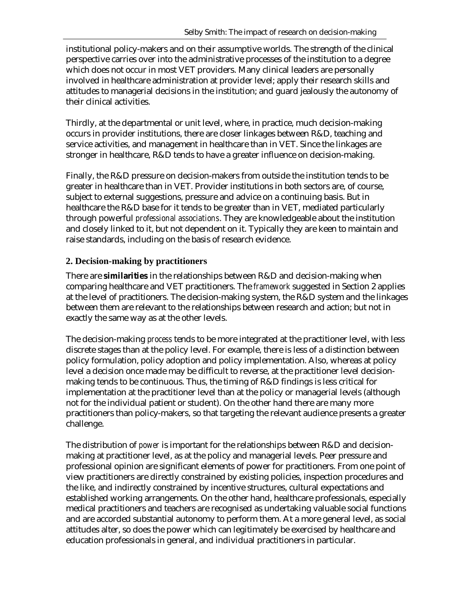institutional policy-makers and on their assumptive worlds. The strength of the clinical perspective carries over into the administrative processes of the institution to a degree which does not occur in most VET providers. Many clinical leaders are personally involved in healthcare administration at provider level; apply their research skills and attitudes to managerial decisions in the institution; and guard jealously the autonomy of their clinical activities.

Thirdly, at the departmental or unit level, where, in practice, much decision-making occurs in provider institutions, there are closer linkages between R&D, teaching and service activities, and management in healthcare than in VET. Since the linkages are stronger in healthcare, R&D tends to have a greater influence on decision-making.

Finally, the R&D pressure on decision-makers from outside the institution tends to be greater in healthcare than in VET. Provider institutions in both sectors are, of course, subject to external suggestions, pressure and advice on a continuing basis. But in healthcare the R&D base for it tends to be greater than in VET, mediated particularly through powerful *professional associations*. They are knowledgeable about the institution and closely linked to it, but not dependent on it. Typically they are keen to maintain and raise standards, including on the basis of research evidence.

#### **2. Decision-making by practitioners**

There are **similarities** in the relationships between R&D and decision-making when comparing healthcare and VET practitioners. The *framework* suggested in Section 2 applies at the level of practitioners. The decision-making system, the R&D system and the linkages between them are relevant to the relationships between research and action; but not in exactly the same way as at the other levels.

The decision-making *process* tends to be more integrated at the practitioner level, with less discrete stages than at the policy level. For example, there is less of a distinction between policy formulation, policy adoption and policy implementation. Also, whereas at policy level a decision once made may be difficult to reverse, at the practitioner level decisionmaking tends to be continuous. Thus, the timing of R&D findings is less critical for implementation at the practitioner level than at the policy or managerial levels (although not for the individual patient or student). On the other hand there are many more practitioners than policy-makers, so that targeting the relevant audience presents a greater challenge.

The distribution of *power* is important for the relationships between R&D and decisionmaking at practitioner level, as at the policy and managerial levels. Peer pressure and professional opinion are significant elements of power for practitioners. From one point of view practitioners are directly constrained by existing policies, inspection procedures and the like, and indirectly constrained by incentive structures, cultural expectations and established working arrangements. On the other hand, healthcare professionals, especially medical practitioners and teachers are recognised as undertaking valuable social functions and are accorded substantial autonomy to perform them. At a more general level, as social attitudes alter, so does the power which can legitimately be exercised by healthcare and education professionals in general, and individual practitioners in particular.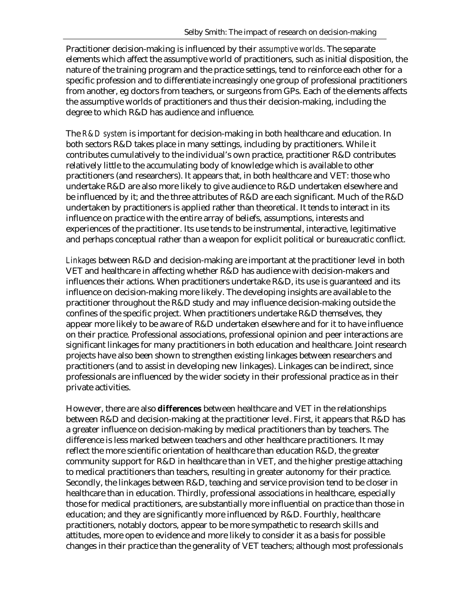Practitioner decision-making is influenced by their *assumptive worlds*. The separate elements which affect the assumptive world of practitioners, such as initial disposition, the nature of the training program and the practice settings, tend to reinforce each other for a specific profession and to differentiate increasingly one group of professional practitioners from another, eg doctors from teachers, or surgeons from GPs. Each of the elements affects the assumptive worlds of practitioners and thus their decision-making, including the degree to which R&D has audience and influence.

The *R&D system* is important for decision-making in both healthcare and education. In both sectors R&D takes place in many settings, including by practitioners. While it contributes cumulatively to the individual's own practice, practitioner R&D contributes relatively little to the accumulating body of knowledge which is available to other practitioners (and researchers). It appears that, in both healthcare and VET: those who undertake R&D are also more likely to give audience to R&D undertaken elsewhere and be influenced by it; and the three attributes of R&D are each significant. Much of the R&D undertaken by practitioners is applied rather than theoretical. It tends to interact in its influence on practice with the entire array of beliefs, assumptions, interests and experiences of the practitioner. Its use tends to be instrumental, interactive, legitimative and perhaps conceptual rather than a weapon for explicit political or bureaucratic conflict.

*Linkages* between R&D and decision-making are important at the practitioner level in both VET and healthcare in affecting whether R&D has audience with decision-makers and influences their actions. When practitioners undertake  $R&D$ , its use is guaranteed and its influence on decision-making more likely. The developing insights are available to the practitioner throughout the R&D study and may influence decision-making outside the confines of the specific project. When practitioners undertake R&D themselves, they appear more likely to be aware of R&D undertaken elsewhere and for it to have influence on their practice. Professional associations, professional opinion and peer interactions are significant linkages for many practitioners in both education and healthcare. Joint research projects have also been shown to strengthen existing linkages between researchers and practitioners (and to assist in developing new linkages). Linkages can be indirect, since professionals are influenced by the wider society in their professional practice as in their private activities.

However, there are also **differences** between healthcare and VET in the relationships between R&D and decision-making at the practitioner level. First, it appears that R&D has a greater influence on decision-making by medical practitioners than by teachers. The difference is less marked between teachers and other healthcare practitioners. It may reflect the more scientific orientation of healthcare than education R&D, the greater community support for R&D in healthcare than in VET, and the higher prestige attaching to medical practitioners than teachers, resulting in greater autonomy for their practice. Secondly, the linkages between R&D, teaching and service provision tend to be closer in healthcare than in education. Thirdly, professional associations in healthcare, especially those for medical practitioners, are substantially more influential on practice than those in education; and they are significantly more influenced by R&D. Fourthly, healthcare practitioners, notably doctors, appear to be more sympathetic to research skills and attitudes, more open to evidence and more likely to consider it as a basis for possible changes in their practice than the generality of VET teachers; although most professionals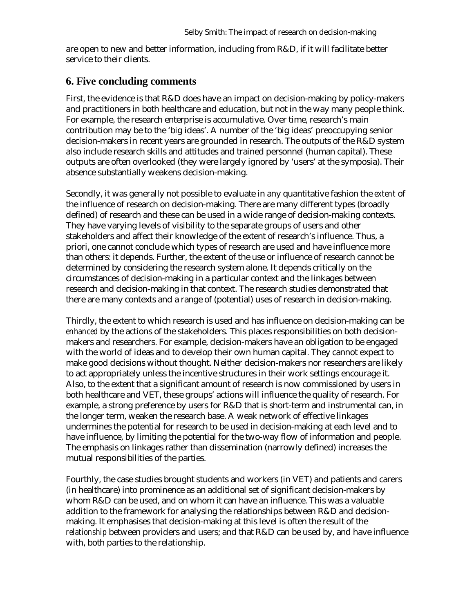are open to new and better information, including from R&D, if it will facilitate better service to their clients.

### **6. Five concluding comments**

First, the evidence is that R&D does have an impact on decision-making by policy-makers and practitioners in both healthcare and education, but not in the way many people think. For example, the research enterprise is accumulative. Over time, research's main contribution may be to the 'big ideas'. A number of the 'big ideas' preoccupying senior decision-makers in recent years are grounded in research. The outputs of the R&D system also include research skills and attitudes and trained personnel (human capital). These outputs are often overlooked (they were largely ignored by 'users' at the symposia). Their absence substantially weakens decision-making.

Secondly, it was generally not possible to evaluate in any quantitative fashion the *extent* of the influence of research on decision-making. There are many different types (broadly defined) of research and these can be used in a wide range of decision-making contexts. They have varying levels of visibility to the separate groups of users and other stakeholders and affect their knowledge of the extent of research's influence. Thus, a priori, one cannot conclude which types of research are used and have influence more than others: it depends. Further, the extent of the use or influence of research cannot be determined by considering the research system alone. It depends critically on the circumstances of decision-making in a particular context and the linkages between research and decision-making in that context. The research studies demonstrated that there are many contexts and a range of (potential) uses of research in decision-making.

Thirdly, the extent to which research is used and has influence on decision-making can be *enhanced* by the actions of the stakeholders. This places responsibilities on both decisionmakers and researchers. For example, decision-makers have an obligation to be engaged with the world of ideas and to develop their own human capital. They cannot expect to make good decisions without thought. Neither decision-makers nor researchers are likely to act appropriately unless the incentive structures in their work settings encourage it. Also, to the extent that a significant amount of research is now commissioned by users in both healthcare and VET, these groups' actions will influence the quality of research. For example, a strong preference by users for R&D that is short-term and instrumental can, in the longer term, weaken the research base. A weak network of effective linkages undermines the potential for research to be used in decision-making at each level and to have influence, by limiting the potential for the two-way flow of information and people. The emphasis on linkages rather than dissemination (narrowly defined) increases the mutual responsibilities of the parties.

Fourthly, the case studies brought students and workers (in VET) and patients and carers (in healthcare) into prominence as an additional set of significant decision-makers by whom R&D can be used, and on whom it can have an influence. This was a valuable addition to the framework for analysing the relationships between R&D and decisionmaking. It emphasises that decision-making at this level is often the result of the *relationship* between providers and users; and that R&D can be used by, and have influence with, both parties to the relationship.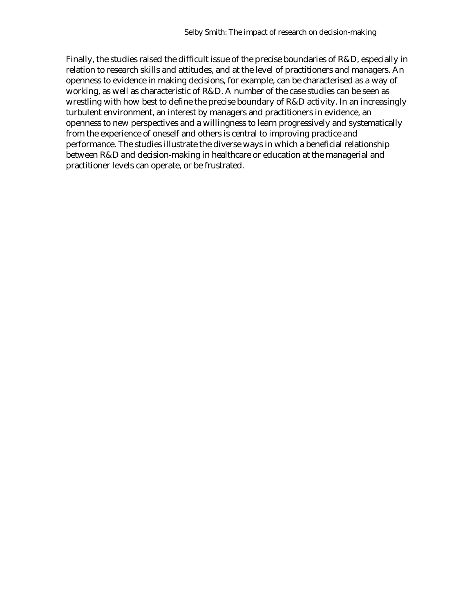Finally, the studies raised the difficult issue of the precise boundaries of R&D, especially in relation to research skills and attitudes, and at the level of practitioners and managers. An openness to evidence in making decisions, for example, can be characterised as a way of working, as well as characteristic of R&D. A number of the case studies can be seen as wrestling with how best to define the precise boundary of R&D activity. In an increasingly turbulent environment, an interest by managers and practitioners in evidence, an openness to new perspectives and a willingness to learn progressively and systematically from the experience of oneself and others is central to improving practice and performance. The studies illustrate the diverse ways in which a beneficial relationship between R&D and decision-making in healthcare or education at the managerial and practitioner levels can operate, or be frustrated.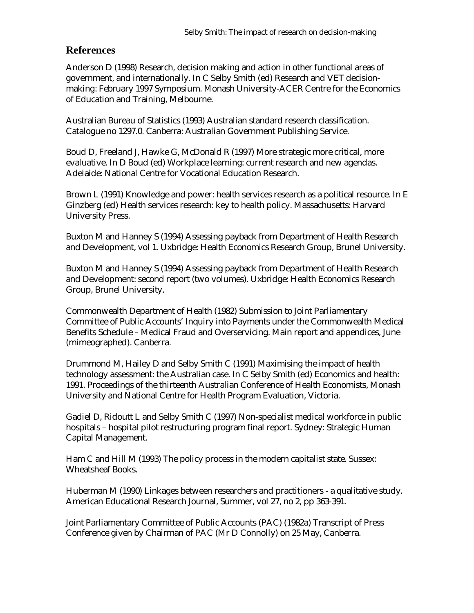### **References**

Anderson D (1998) Research, decision making and action in other functional areas of government, and internationally. In C Selby Smith (ed) Research and VET decisionmaking: February 1997 Symposium. Monash University-ACER Centre for the Economics of Education and Training, Melbourne.

Australian Bureau of Statistics (1993) Australian standard research classification. Catalogue no 1297.0. Canberra: Australian Government Publishing Service.

Boud D, Freeland J, Hawke G, McDonald R (1997) More strategic more critical, more evaluative. In D Boud (ed) Workplace learning: current research and new agendas. Adelaide: National Centre for Vocational Education Research.

Brown L (1991) Knowledge and power: health services research as a political resource. In E Ginzberg (ed) Health services research: key to health policy. Massachusetts: Harvard University Press.

Buxton M and Hanney S (1994) Assessing payback from Department of Health Research and Development, vol 1. Uxbridge: Health Economics Research Group, Brunel University.

Buxton M and Hanney S (1994) Assessing payback from Department of Health Research and Development: second report (two volumes). Uxbridge: Health Economics Research Group, Brunel University.

Commonwealth Department of Health (1982) Submission to Joint Parliamentary Committee of Public Accounts' Inquiry into Payments under the Commonwealth Medical Benefits Schedule – Medical Fraud and Overservicing. Main report and appendices, June (mimeographed). Canberra.

Drummond M, Hailey D and Selby Smith C (1991) Maximising the impact of health technology assessment: the Australian case. In C Selby Smith (ed) Economics and health: 1991. Proceedings of the thirteenth Australian Conference of Health Economists, Monash University and National Centre for Health Program Evaluation, Victoria.

Gadiel D, Ridoutt L and Selby Smith C (1997) Non-specialist medical workforce in public hospitals – hospital pilot restructuring program final report. Sydney: Strategic Human Capital Management.

Ham C and Hill M (1993) The policy process in the modern capitalist state. Sussex: Wheatsheaf Books.

Huberman M (1990) Linkages between researchers and practitioners - a qualitative study. American Educational Research Journal, Summer, vol 27, no 2, pp 363-391.

Joint Parliamentary Committee of Public Accounts (PAC) (1982a) Transcript of Press Conference given by Chairman of PAC (Mr D Connolly) on 25 May, Canberra.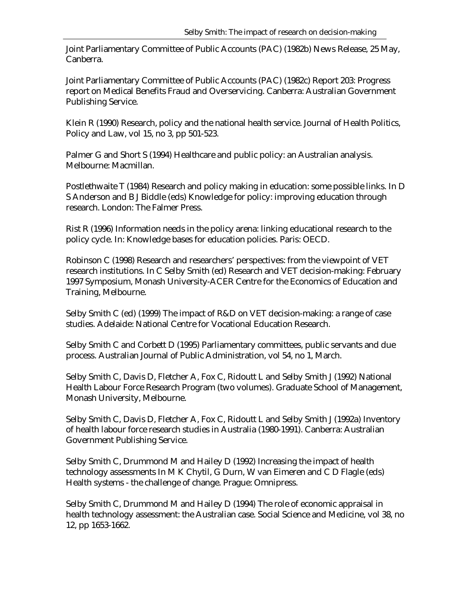Joint Parliamentary Committee of Public Accounts (PAC) (1982b) News Release, 25 May, Canberra.

Joint Parliamentary Committee of Public Accounts (PAC) (1982c) Report 203: Progress report on Medical Benefits Fraud and Overservicing. Canberra: Australian Government Publishing Service.

Klein R (1990) Research, policy and the national health service. Journal of Health Politics, Policy and Law, vol 15, no 3, pp 501-523.

Palmer G and Short S (1994) Healthcare and public policy: an Australian analysis. Melbourne: Macmillan.

Postlethwaite T (1984) Research and policy making in education: some possible links. In D S Anderson and B J Biddle (eds) Knowledge for policy: improving education through research. London: The Falmer Press.

Rist R (1996) Information needs in the policy arena: linking educational research to the policy cycle. In: Knowledge bases for education policies. Paris: OECD.

Robinson C (1998) Research and researchers' perspectives: from the viewpoint of VET research institutions. In C Selby Smith (ed) Research and VET decision-making: February 1997 Symposium, Monash University-ACER Centre for the Economics of Education and Training, Melbourne.

Selby Smith C (ed) (1999) The impact of R&D on VET decision-making: a range of case studies. Adelaide: National Centre for Vocational Education Research.

Selby Smith C and Corbett D (1995) Parliamentary committees, public servants and due process. Australian Journal of Public Administration, vol 54, no 1, March.

Selby Smith C, Davis D, Fletcher A, Fox C, Ridoutt L and Selby Smith J (1992) National Health Labour Force Research Program (two volumes). Graduate School of Management, Monash University, Melbourne.

Selby Smith C, Davis D, Fletcher A, Fox C, Ridoutt L and Selby Smith J (1992a) Inventory of health labour force research studies in Australia (1980-1991). Canberra: Australian Government Publishing Service.

Selby Smith C, Drummond M and Hailey D (1992) Increasing the impact of health technology assessments In M K Chytil, G Durn, W van Eimeren and C D Flagle (eds) Health systems - the challenge of change. Prague: Omnipress.

Selby Smith C, Drummond M and Hailey D (1994) The role of economic appraisal in health technology assessment: the Australian case. Social Science and Medicine, vol 38, no 12, pp 1653-1662.